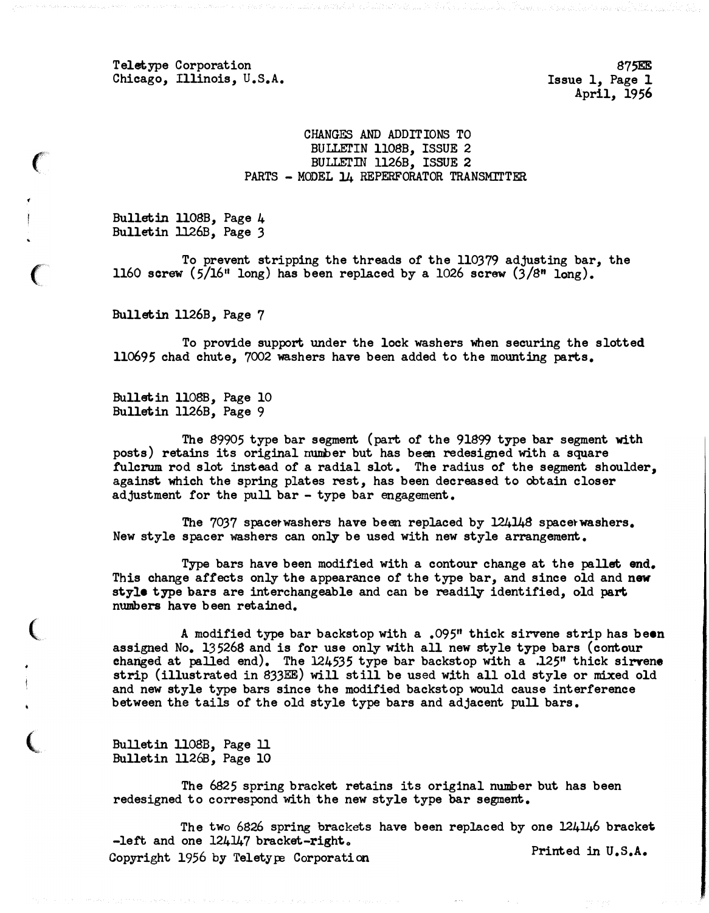Teletype Corporation Chicago, Illinois, U.S.A.

S75EE Issue 1, Page 1 April, 1956

## CHANGES AND ADDITIONS TO BULLETIN 1108B, ISSUE 2 BULLETIN 1126B, ISSUE 2 PARTS - MODEL 14 REPERFORATOR TRANSMITTER

Bulletin llOSB, Page 4 Bulletin 1126B, Page 3

(

 $\big($ 

 $\overline{\mathbb{C}}$ 

(

To prevent stripping the threads of the ll0379 adjusting bar, the 1160 screw  $(5/16$ <sup>u</sup> long) has been replaced by a 1026 screw  $(3/8$ <sup>u</sup> long).

Bulletin 1126B, Page 7

To provide support under the lock washers when securing the slotted ll0695 chad chute, 7002 washers have been added to the mounting parts.

Bulletin llO8B. Page 10 Bulletin 1126B, Page 9

The S9905 type bar segment (part of the 91S99 type bar segment with posts) retains its original number but has been redesigned with a square fulcrum rod slot instead of a radial slot. The radius of the segment shoulder, against which the spring plates rest, has been decreased to obtain closer adjustment for the pull bar - type bar engagement.

The 7037 spacetwashers have been replaced by 12414S spacetwashers. New style spacer washers can only be used with new style arrangement.

Type bars have been modified with a contour change at the pallet end. This change affects only the appearance of the type bar, and since old and new style type bars are interchangeable and can be readily identified, old part numbers have been retained.

A modified type bar backstop with a .095" thick sirvene strip has been assigned No. 135268 and is for use only with all new style type bars (contour changed at palled end). The 124535 type bar backstop with a .125" thick sirvene strip (illustrated in 833EE) will still be used with all old style or mixed old and new style type bars since the modified backstop would cause interference between the tails of the old style type bars and adjacent pull bars.

Bulletin llOSB, Page ll Bulletin ll26B, Page 10

The 6S25 spring bracket retains its original number but has been redesigned to correspond with the new style type bar segment.

The two 6826 spring brackets have been replaced by one 124146 bracket -left and one  $124\frac{1}{47}$  bracket-right. Copyright 1956 by Teletype Corporation Conference Printed in U.S.A.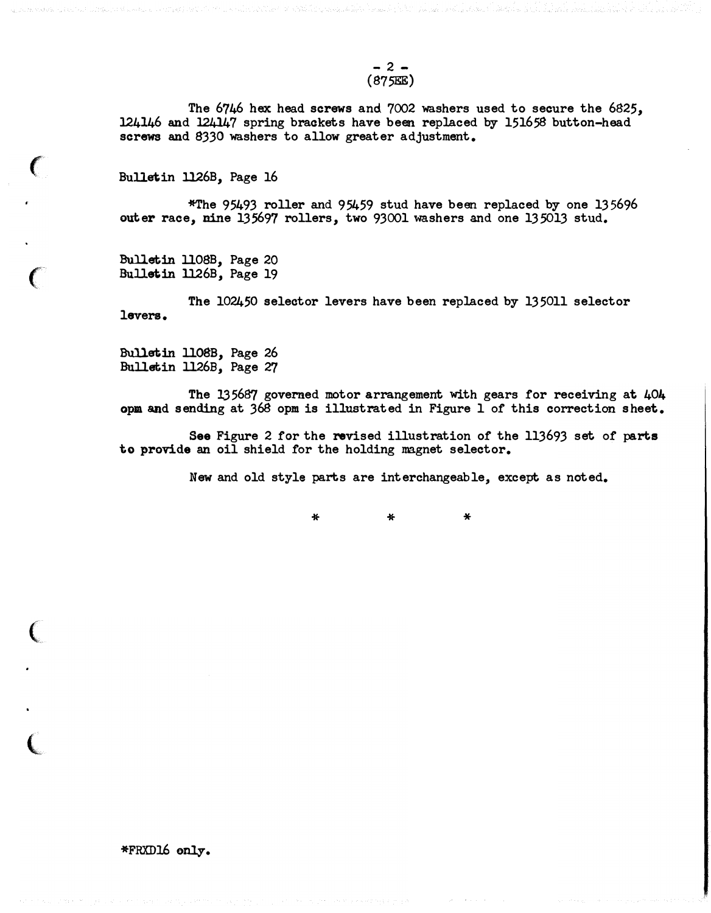$- 2 -$ (875EE)

The 6746 hex head screws and 7002 washers used to secure the 6825, 124146 and 124147 spring brackets have been replaced by 151658 button-head screws and 8330 washers to allow greater adjustment.

Bulletin 1126B, Page 16

 $\big($ 

 $\big($ 

(

 $\overline{\mathbb{C}}$ 

\*The 95493 roller and 95459 stud have been replaced by one 135696 outer race, nine 135697 rollers, two 93001 washers and one 135013 stud.

Bulletin ll08B, Page 20 Bulletin 1126B, Page 19

The 102450 selector levers have been replaced by 135011 selector levers.

Bulletin 1108B, Page 26 Bulletin 1126B, Page 27

The 135687 governed motor arrangement with gears for receiving at 404 opm and sending at 368 opm is illustrated in Figure 1 of this correction sheet.

See Figure 2 for the revised illustration of the 113693 set of parts to provide an oil shield for the holding magnet selector.

New and old style parts are interchangeable, except as noted.

\* \* \*

\*FRXD16 only.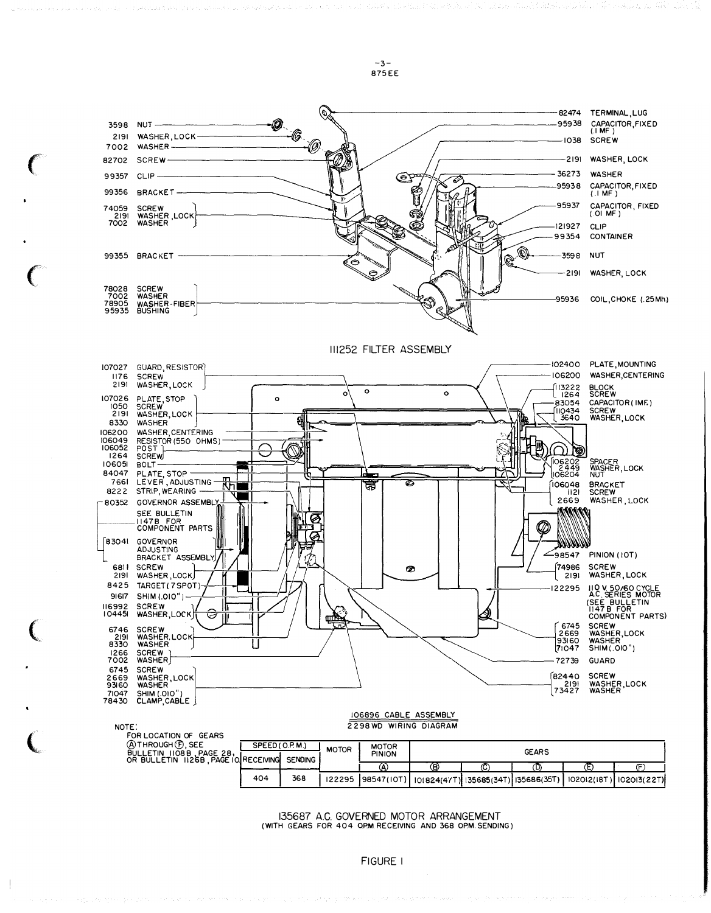

-3- 8 75EE

 $\big($ 

 $\mathbf{\mathbb{C}}$ 

 $\big($ 

| FOR LOCATION OF GEARS                |                |     |              |               |              |     |                                                    |  |                          |
|--------------------------------------|----------------|-----|--------------|---------------|--------------|-----|----------------------------------------------------|--|--------------------------|
| A THROUGH (F), SEE                   | SPEED(0.P.M.)  |     |              | <b>MOTOR</b>  |              |     |                                                    |  |                          |
| PAGE 28,<br>BULLETIN 1108B           |                |     | <b>MOTOR</b> | <b>PINION</b> | <b>GEARS</b> |     |                                                    |  |                          |
| OR BULLETIN 1126B, PAGE IO RECEIVING | <b>SENDING</b> |     |              |               |              |     |                                                    |  |                          |
|                                      |                |     |              | (A            | (B)          | (C. | U)                                                 |  |                          |
|                                      | 404            | 368 | 122295       |               |              |     | [98547(10T)] 101824(47T) 135685(34T) 135686(35T) 1 |  | 102012(18T)  102013(22T) |

135687 A.C. GOVERNED MOTOR ARRANGEMEN T (WITH GEARS FOR 404 QPM RECEIVING AND 368 OPM. SENDING)

FIGURE I